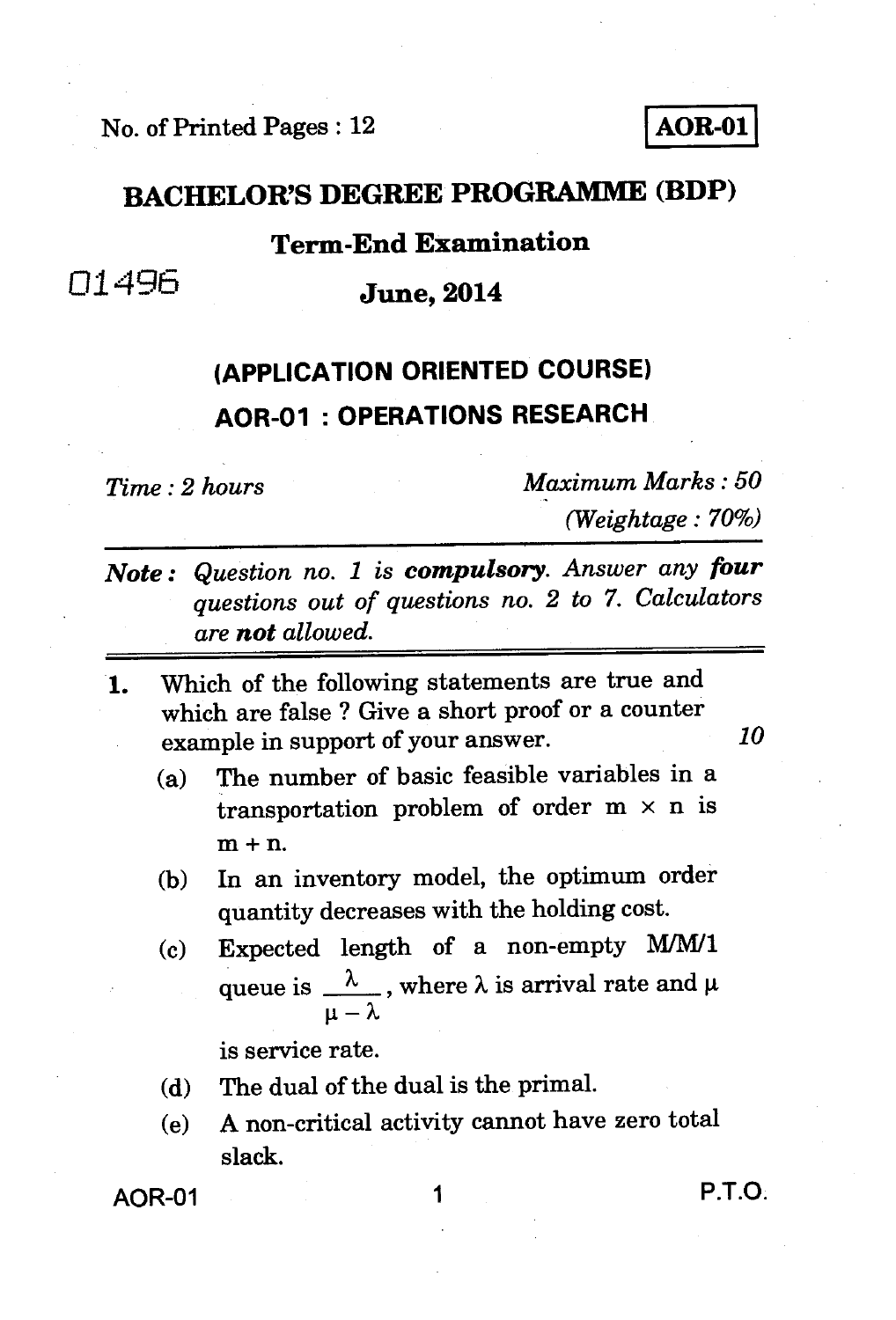**No. of Printed Pages : 12 AOR-01** 

#### **BACHELOR'S DEGREE PROGRAMME (BDP)**

### **Term-End Examination**

## 01496 **June, 2014**

## **(APPLICATION ORIENTED COURSE) AOR-01 : OPERATIONS RESEARCH**

*Time : 2 hours Maximum Marks : 50 (Weightage : 70%)* 

- *Note : Question no. 1 is compulsory. Answer any four questions out of questions no. 2 to 7. Calculators are not allowed.*
- **1. Which of the following statements are true and which are false ? Give a short proof or a counter example in support of your answer.** *10* 
	- **(a) The number of basic feasible variables in a transportation problem of order m x n is m + n.**
	- **(b) In an inventory model, the optimum order quantity decreases with the holding cost.**
	- **(c) Expected length of a non-empty M/M/1**  queue is  $\frac{\lambda}{\lambda}$ , where  $\lambda$  is arrival rate and  $\mu$ **— X**

**is service rate.** 

- **(d) The dual of the dual is the primal.**
- **(e) A non-critical activity cannot have zero total slack.**

**AOR-01 1 P.T.O.**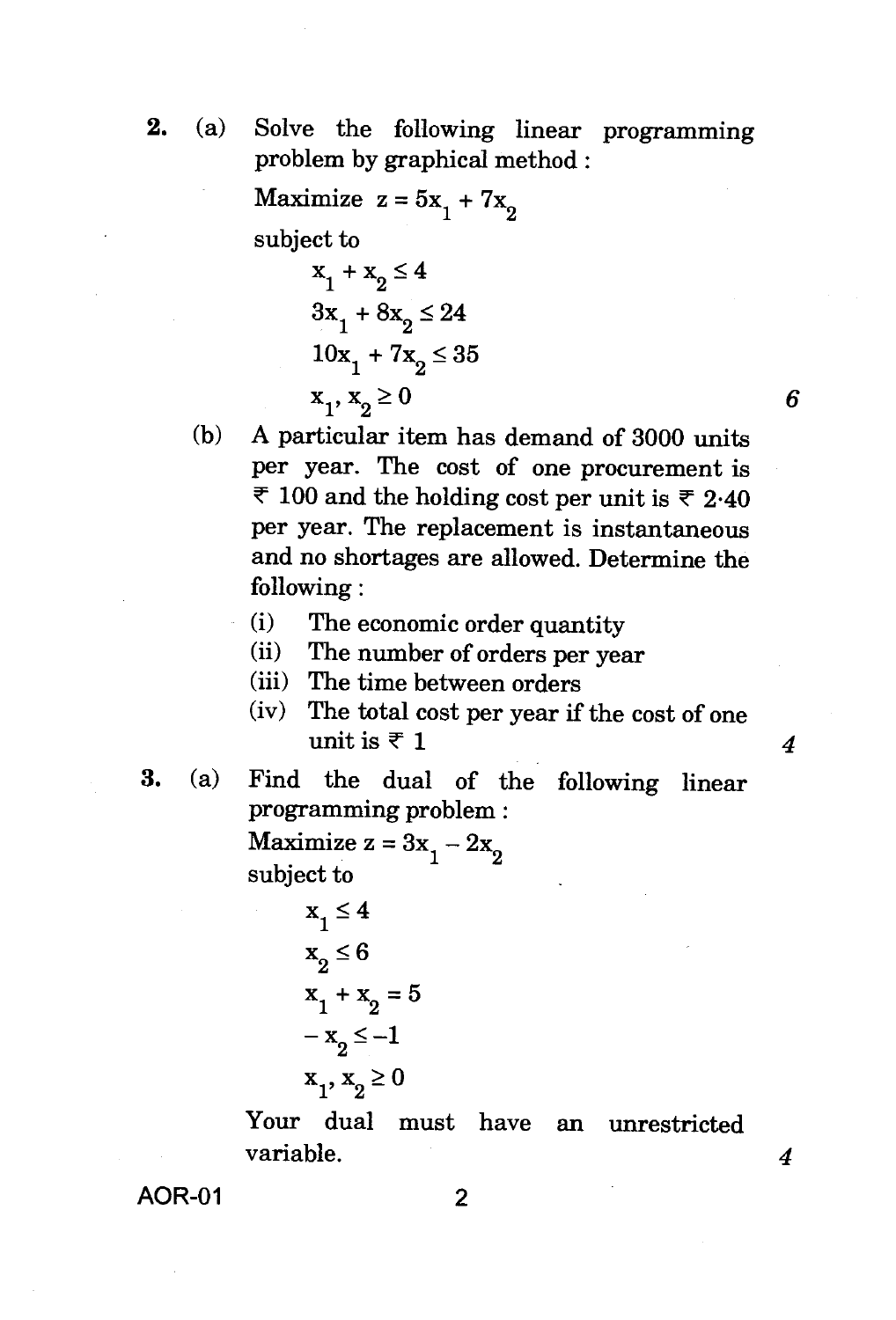**2.** (a) Solve the following linear programming problem by graphical method :

Maximize  $z = 5x_1 + 7x_2$ 

subject to

$$
x1 + x2 \le 4
$$
  
\n
$$
3x1 + 8x2 \le 24
$$
  
\n
$$
10x1 + 7x2 \le 35
$$
  
\n
$$
x1, x2 \ge 0
$$

(b) A particular item has demand of 3000 units per year. The cost of one procurement is ₹ 100 and the holding cost per unit is ₹ 2.40 per year. The replacement is instantaneous and no shortages are allowed. Determine the following :

6

4

 $\boldsymbol{4}$ 

- (i) The economic order quantity
- (ii) The number of orders per year
- (iii) The time between orders
- (iv) The total cost per year if the cost of one unit is  $\bar{x}$  1
- **3.** (a) Find the dual of the following linear programming problem :

Maximize  $z = 3x_1 - 2x_2$ subject to

$$
x1 \le 4
$$
  
\n
$$
x2 \le 6
$$
  
\n
$$
x1 + x2 = 5
$$
  
\n
$$
-x2 \le -1
$$
  
\n
$$
x1, x2 \ge 0
$$

Your dual must have an unrestricted variable.

**AOR-01** 2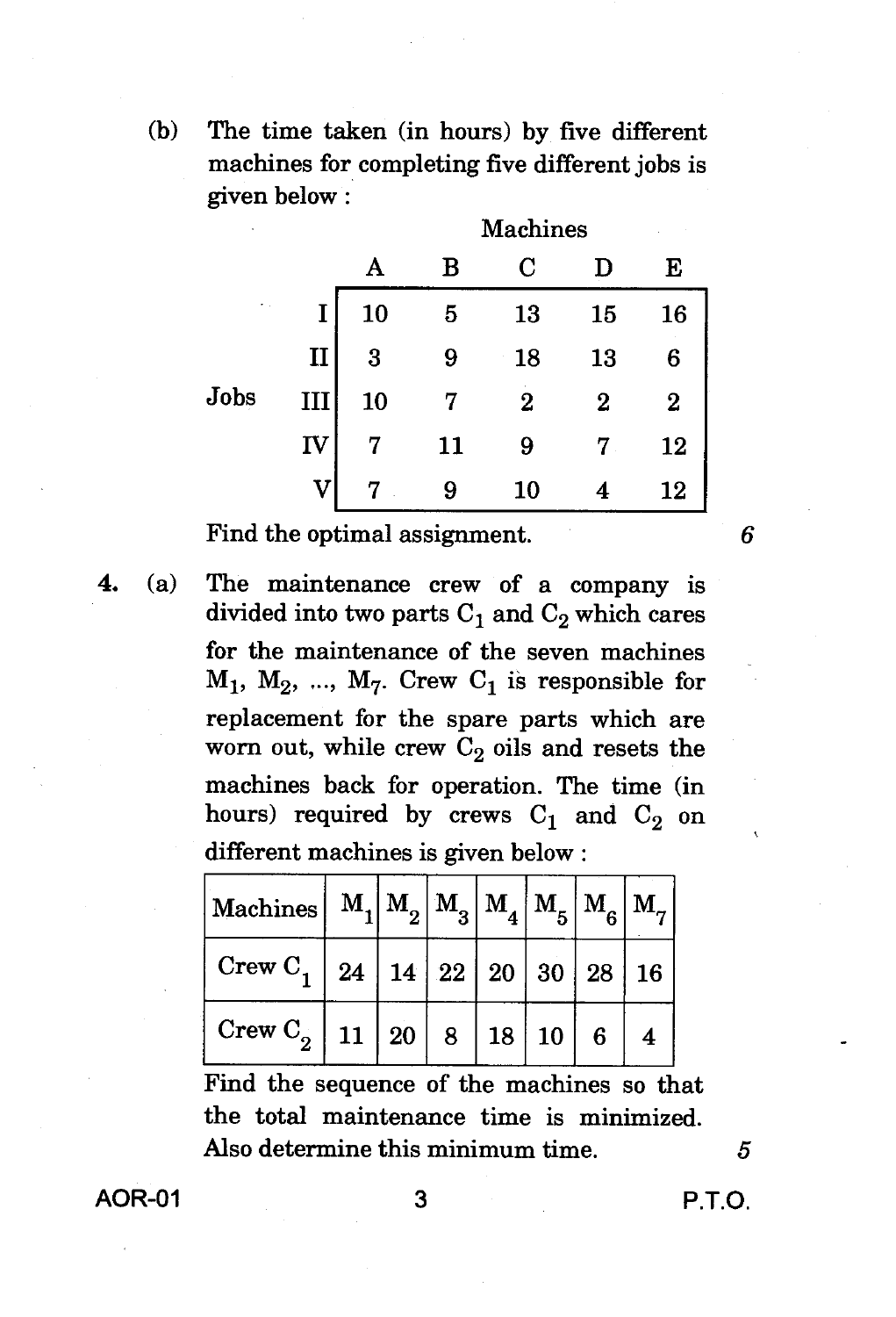(b) The time taken (in hours) by five different machines for completing five different jobs is given below

| ٠            |              |    | <b>Machines</b> |          |          |          |  |  |  |  |
|--------------|--------------|----|-----------------|----------|----------|----------|--|--|--|--|
|              |              | A  | B               | $\rm C$  |          | E        |  |  |  |  |
| $\epsilon$ . | I            | 10 | 5               | 13       | 15       | 16       |  |  |  |  |
|              | $\mathbf{I}$ | 3  | 9               | 18       | 13       | 6        |  |  |  |  |
| Jobs         | III          | 10 | 7               | $\bf{2}$ | $\bf{2}$ | $\bf{2}$ |  |  |  |  |
|              | IV           | 7  | 11              | 9        |          | 12       |  |  |  |  |
|              | V            |    | 9               | 10       |          | 12       |  |  |  |  |

Find the optimal assignment.

**4.** (a) The maintenance crew of a company is divided into two parts  $C_1$  and  $C_2$  which cares for the maintenance of the seven machines  $M_1$ ,  $M_2$ , ...,  $M_7$ . Crew  $C_1$  is responsible for replacement for the spare parts which are worn out, while crew  $C_2$  oils and resets the machines back for operation. The time (in hours) required by crews  $C_1$  and  $C_2$  on different machines is given below :

| $\big \max\{\mathrm{M}_\mathrm{a}\mathrm{chines}\big \,\, \mathrm{M}_\mathrm{1}\big \mathrm{M}_\mathrm{2}\big \,\mathrm{M}_\mathrm{3}\big \,\mathrm{M}_\mathrm{4}\big \,\mathrm{M}_\mathrm{5}\big \,\mathrm{M}_\mathrm{6}\big \,\mathrm{M}_\mathrm{7}\big \,\big.$ |  |  |  |  |
|--------------------------------------------------------------------------------------------------------------------------------------------------------------------------------------------------------------------------------------------------------------------|--|--|--|--|
| $\vert$ Crew C <sub>1</sub>   24   14   22   20   30   28   16                                                                                                                                                                                                     |  |  |  |  |
| Crew $C_2$   11   20   8   18   10   6   4                                                                                                                                                                                                                         |  |  |  |  |

Find the sequence of the machines so that the total maintenance time is minimized. Also determine this minimum time.  $5<sub>5</sub>$ 

AOR-01 3 P.T.O.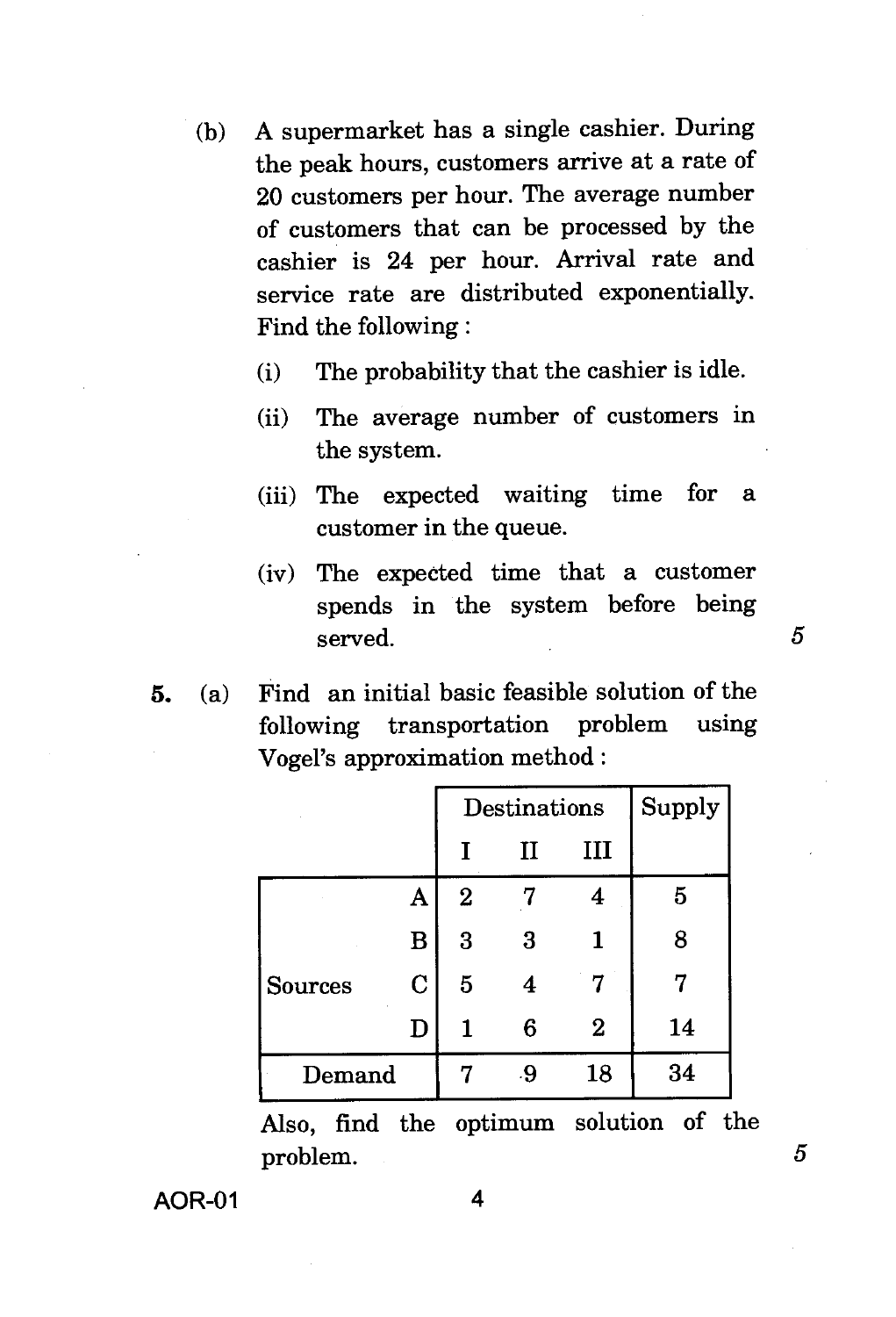- (b) A supermarket has a single cashier. During the peak hours, customers arrive at a rate of 20 customers per hour. The average number of customers that can be processed by the cashier is 24 per hour. Arrival rate and service rate are distributed exponentially. Find the following :
	- (i) The probability that the cashier is idle.
	- (ii) The average number of customers in the system.
	- (iii) The expected waiting time for a customer in the queue.
	- (iv) The expected time that a customer spends in the system before being served.  $5$
- **5.** (a) Find an initial basic feasible solution of the following transportation problem using Vogel's approximation method :

|         |             |             | Destinations | Supply           |    |
|---------|-------------|-------------|--------------|------------------|----|
|         |             | T           | п            | ш                |    |
|         | A           | $\mathbf 2$ |              | 4                | 5  |
|         | B           | 3           | 3            |                  | 8  |
| Sources | $\mathbf C$ | 5           | 4            |                  |    |
|         | D           | 1           | 6            | $\boldsymbol{2}$ | 14 |
| Demand  |             | 7           | .9           | 18               | 34 |

Also, find the optimum solution of the problem. 5

**AOR-01** 4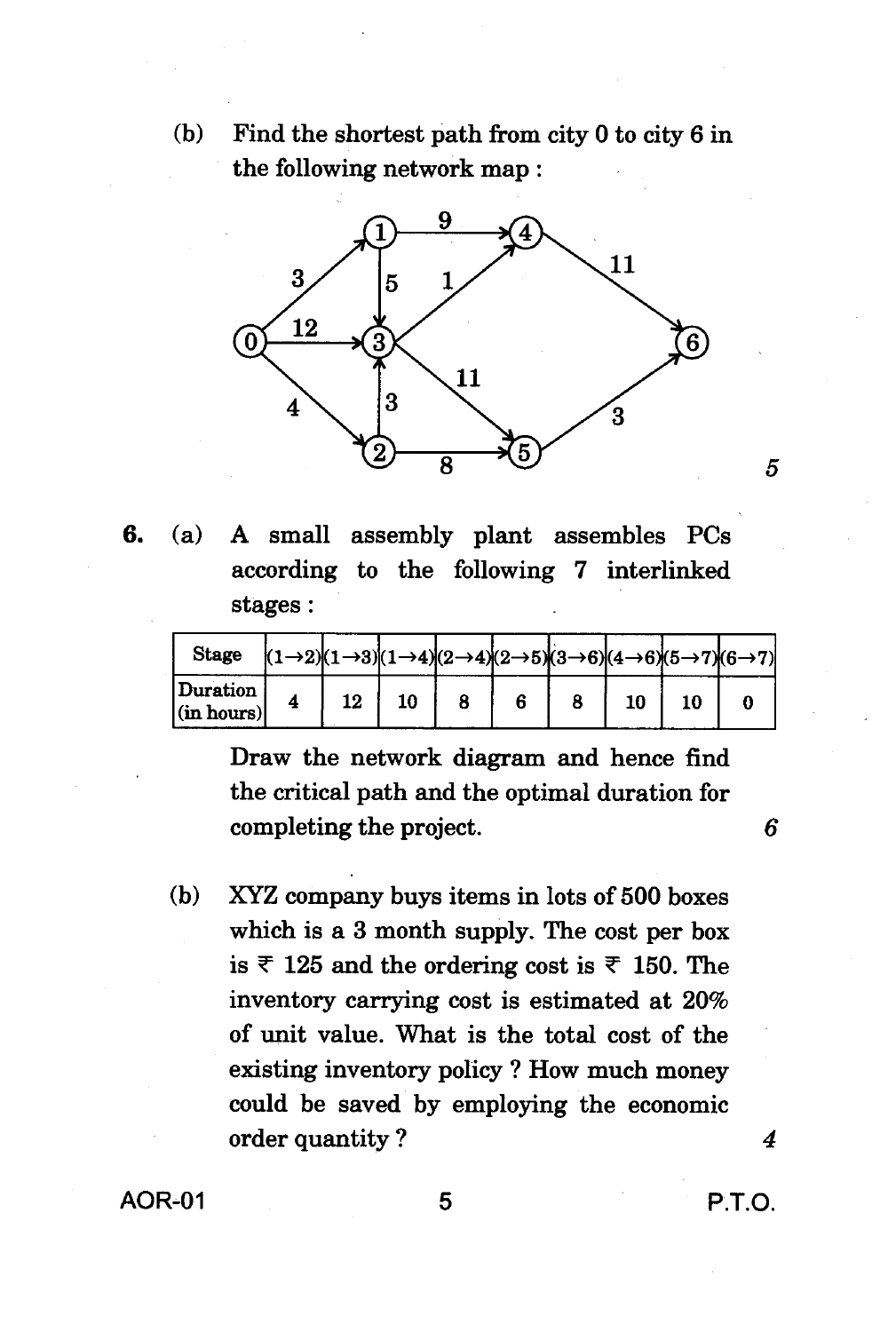**(b) Find the shortest path from city 0 to city 6 in the following network map :** 



**6. (a) A small assembly plant assembles PCs according to the following 7 interlinked stages :** 

| <b>Stage</b>                   |    |    |  |  |    | $ (1\rightarrow 2)(1\rightarrow 3)(1\rightarrow 4)(2\rightarrow 4)(2\rightarrow 5)(3\rightarrow 6)(4\rightarrow 6)(5\rightarrow 7)(6\rightarrow 7) $ |
|--------------------------------|----|----|--|--|----|------------------------------------------------------------------------------------------------------------------------------------------------------|
| Duration<br>$ $ (in hours) $ $ | 12 | 10 |  |  | 10 |                                                                                                                                                      |

**Draw the network diagram and hence find the critical path and the optimal duration for completing the project.** 

**(b) XYZ company buys items in lots of 500 boxes which is a 3 month supply. The cost per box**  is  $\overline{\tau}$  125 and the ordering cost is  $\overline{\tau}$  150. The **inventory carrying cost is estimated at 20% of unit value. What is the total cost of the existing inventory policy ? How much money could be saved by employing the economic order quantity ?** *4* 

**AOR-01 5 P.T.O.** 

5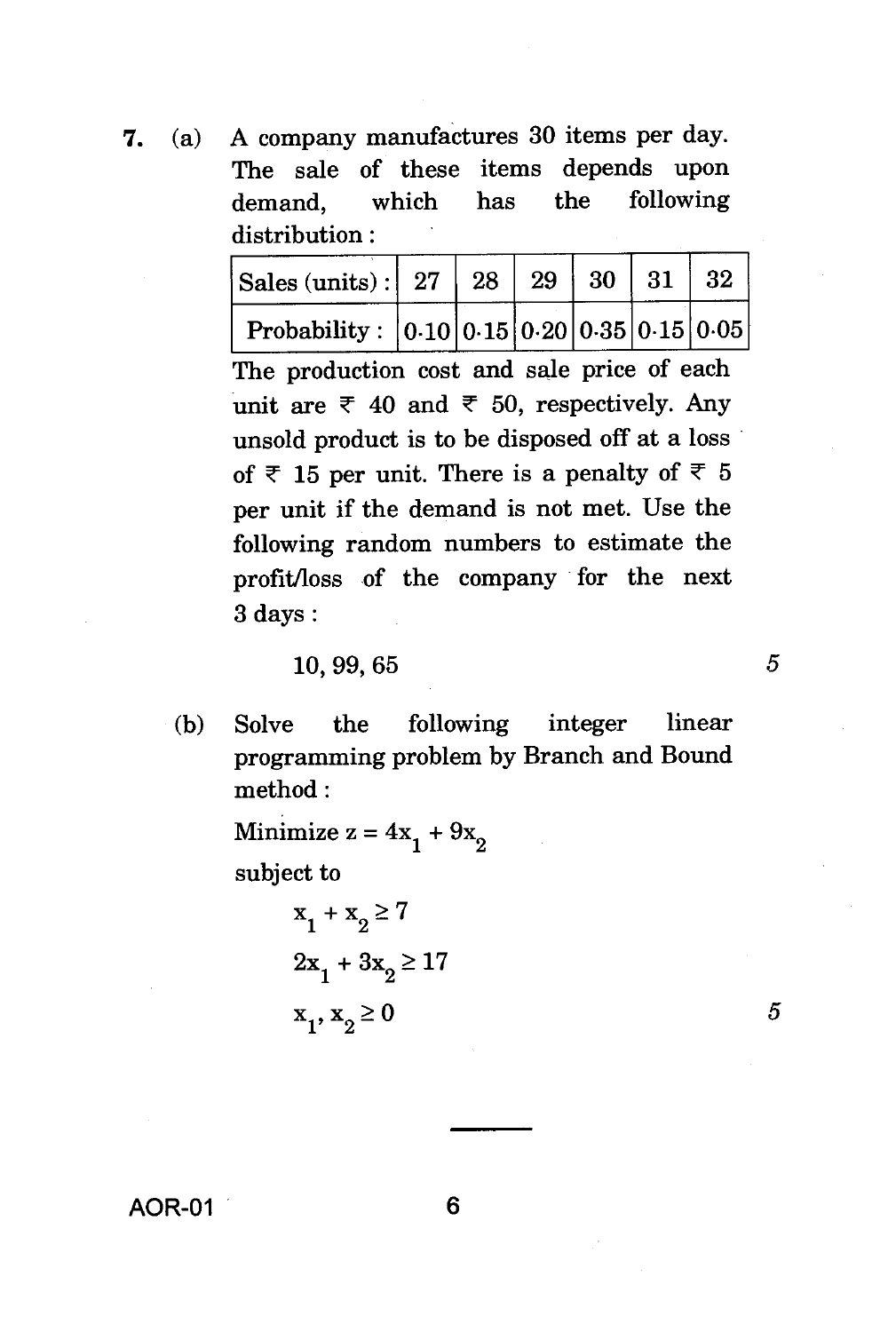7. (a) A company manufactures 30 items per day. The sale of these items depends upon demand, which has the following distribution :

| Sales (units) :   27   28   29   30   31   32   |  |  |  |
|-------------------------------------------------|--|--|--|
| Probability : $ 0.10 0.15 0.20 0.35 0.15 0.05 $ |  |  |  |

The production cost and sale price of each unit are  $\overline{\tau}$  40 and  $\overline{\tau}$  50, respectively. Any unsold product is to be disposed off at a loss of  $\overline{\tau}$  15 per unit. There is a penalty of  $\overline{\tau}$  5 per unit if the demand is not met. Use the following random numbers to estimate the profit/loss of the company for the next 3 days :

#### 10, 99, 65 *5*

(b) Solve the following integer linear programming problem by Branch and Bound method :

> Minimize  $z = 4x_1 + 9x_2$ subject to

> > $x_1 + x_2 \geq 7$  $2x_1 + 3x_2 \ge 17$  $x_1, x_2 \geq 0$

5

AOR-01 6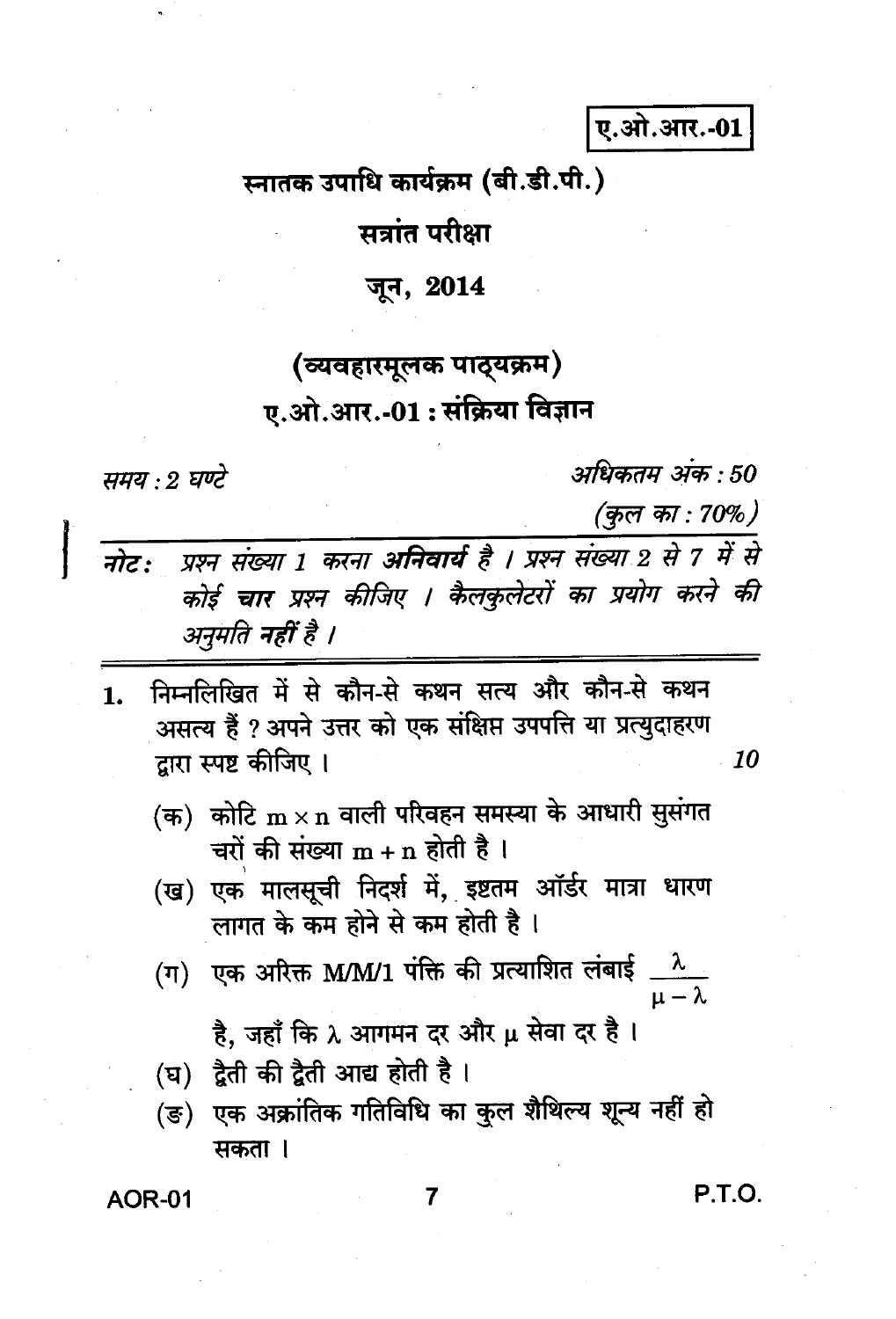ए.ओ.आर.-01

स्नातक उपाधि कार्यक्रम (बी.डी.पी.)

सत्रांत परीक्षा

जून, 2014

# (व्यवहारमूलक पाठ्यक्रम) ए.ओ.आर.-01 : संक्रिया विज्ञान

समय : 2 घण्टे

अधिकतम अंक : 50

(कुल का : 70%)

| नोट: प्रश्न संख्या 1 करना अनिवार्य है । प्रश्न संख्या 2 से 7 में से |
|---------------------------------------------------------------------|
| कोई चार प्रश्न कीजिए । कैलकुलेटरों का प्रयोग करने की                |
| अनुमति नहीं है ।                                                    |

- निम्नलिखित में से कौन-से कथन सत्य और कौन-से कथन 1. असत्य हैं ? अपने उत्तर को एक संक्षिप्त उपपत्ति या प्रत्युदाहरण द्वारा स्पष्ट कीजिए । 10
	- (क) कोटि  $\textbf{m}\times\textbf{n}$  वाली परिवहन समस्या के आधारी सुसंगत चरों की संख्या  $m + n$  होती है।
	- (ख) एक मालसूची निदर्श में, इष्टतम ऑर्डर मात्रा धारण लागत के कम होने से कम होती है ।
	- (ग) एक अरिक्त M/M/1 पंक्ति की प्रत्याशित लंबाई  $\frac{\lambda}{\mu-\lambda}$

है, जहाँ कि  $\lambda$  आगमन दर और  $\mu$  सेवा दर है ।

- (घ) द्वैती की द्वैती आद्य होती है।
- $(\overline{\mathfrak{s}})$ एक अक्रांतिक गतिविधि का कुल शैथिल्य शून्य नहीं हो मकता ।

**AOR-01** 

P.T.O.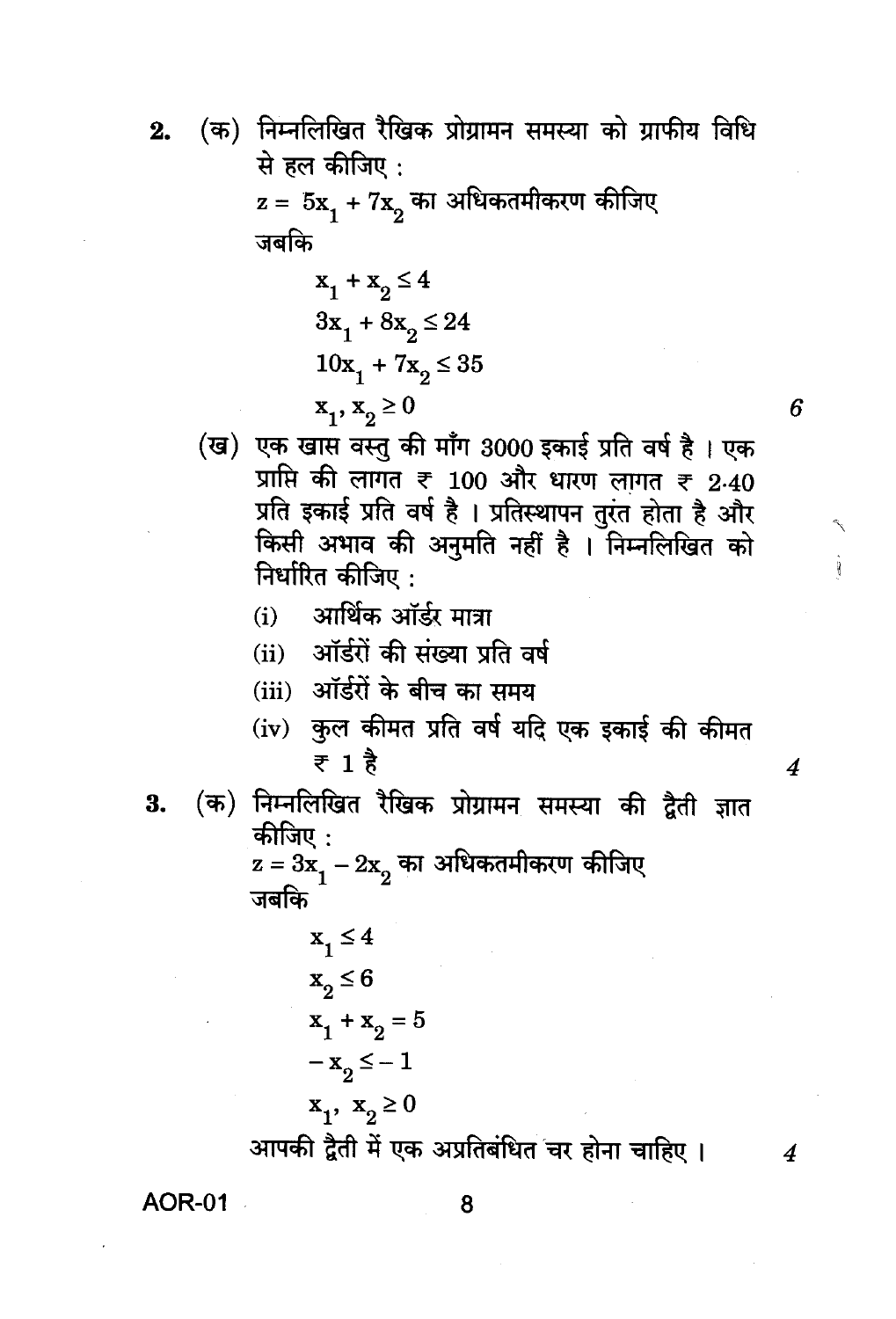- (क) निम्नलिखित रैखिक प्रोग्रामन समस्या को ग्राफीय विधि 2. से हल कीजिए:  $z = 5x_1 + 7x_2$  का अधिकतमीकरण कीजिए जबकि  $x_1 + x_2 \le 4$  $3x_1 + 8x_2 \le 24$  $10x_1 + 7x_2 \le 35$ 
	- $x_1, x_2 \ge 0$
	- (ख) एक खास वस्तु की माँग 3000 इकाई प्रति वर्ष है। एक प्राप्ति की लागत ₹ 100 और धारण लागत ₹ 2.40 प्रति इकाई प्रति वर्ष है । प्रतिस्थापन तुरंत होता है और किसी अभाव की अनुमति नहीं है । निम्नलिखित को निर्धारित कीजिए :

6

 $\boldsymbol{4}$ 

4

- आर्थिक ऑर्डर मात्रा  $(i)$
- (ii) ऑर्डरों की संख्या प्रति वर्ष
- (iii) ऑर्डरों के बीच का समय
- कुल कीमत प्रति वर्ष यदि एक इकाई की कीमत  $(iv)$ ₹ 1 है
- (क) निम्नलिखित रैखिक प्रोग्रामन समस्या की द्वैती ज्ञात 3. कीजिए :
	- $z = 3x\frac{1}{1} 2x\frac{1}{2}$ का अधिकतमीकरण कीजिए जबकि

$$
x_1 \le 4
$$
  
\n
$$
x_2 \le 6
$$
  
\n
$$
x_1 + x_2 = 5
$$
  
\n
$$
-x_2 \le -1
$$
  
\n
$$
x_1, x_2 \ge 0
$$

आपकी द्वैती में एक अप्रतिबंधित चर होना चाहिए ।

**AOR-01**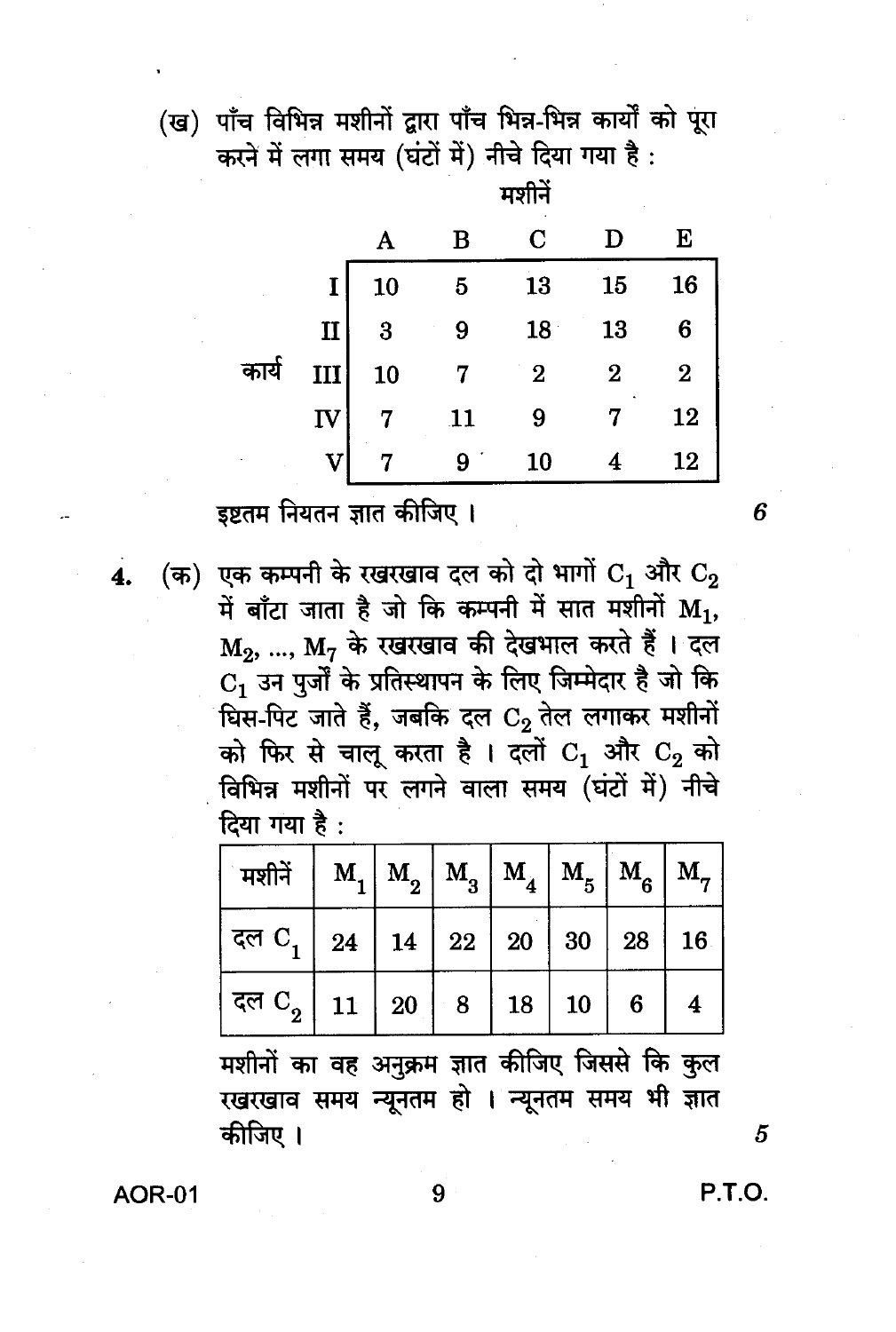(ख) पाँच विभिन्न मशीनों द्वारा पाँच भिन्न-भिन्न कार्यों को पूरा करने में लगा समय (घंटों में) नीचे दिया गया है:

|       |              |           | В  | С        |    | Е        |
|-------|--------------|-----------|----|----------|----|----------|
|       | $\mathbf I$  | <b>10</b> | 5  | 13       | 15 | 16       |
|       | $\mathbf{I}$ | 3         |    | 18       | 13 | 6        |
| कार्य | III          | 10        |    | $\bf{2}$ | 2  | $\bf{2}$ |
|       | IV           |           | 11 | 9        |    | 12       |
|       |              |           |    | 10       |    | 12       |

मशीनें

इष्टतम नियतन ज्ञात कीजिए ।

(क) एक कम्पनी के रखरखाव दल को दो भागों  $C_1$  और  $C_2$ में बाँटा जाता है जो कि कम्पनी में सात मशीनों  $M_1$ ,  $M_2$ , ...,  $M_7$  के रखरखाव की देखभाल करते हैं । दल  $C_1$  उन पुर्जों के प्रतिस्थापन के लिए जिम्मेदार है जो कि घिस-पिट जाते हैं, जबकि दल  $C_2$  तेल लगाकर मशीनों को फिर से चालू करता है। दलों  $C_1$  और  $C_2$  को विभिन्न मशीनों पर लगने वाला समय (घंटों में) नीचे दिया गया है:

| ं मशीनें $\mid$ $\textbf{M}_{1} \mid$ $\textbf{M}_{2} \mid$ $\textbf{M}_{3} \mid$ $\textbf{M}_{4} \mid$ $\textbf{M}_{5} \mid$ $\textbf{M}_{6} \mid$ $\textbf{M}_{7} \mid$                                                                                                              |  |  |  |  |
|----------------------------------------------------------------------------------------------------------------------------------------------------------------------------------------------------------------------------------------------------------------------------------------|--|--|--|--|
| दल $\rm C^{\phantom{0}}_1$   $\rm 24$   $\rm 14$   $\rm 22$   $\rm 20$   $\rm 30$   $\rm 28$   $\rm 16$                                                                                                                                                                                |  |  |  |  |
| $\mid$ दल ${\rm C}^{}_{2}\left \right.$ $\left.\right.11\left.\right.\left \right.20\left.\right.\left \right.\right.\left.\left.\left.\right8\left.\right.\left \right.\right.18\left.\right.\left \right.\left.\left.\right10\left.\right.\right \right.\left.\left.\right6\right\ $ |  |  |  |  |

मशीनों का वह अनुक्रम ज्ञात कीजिए जिससे कि कुल रखरखाव समय न्यूनतम हो । न्यूनतम समय भी ज्ञात कीजिए ।

**AOR-01** 

P.T.O.

5

6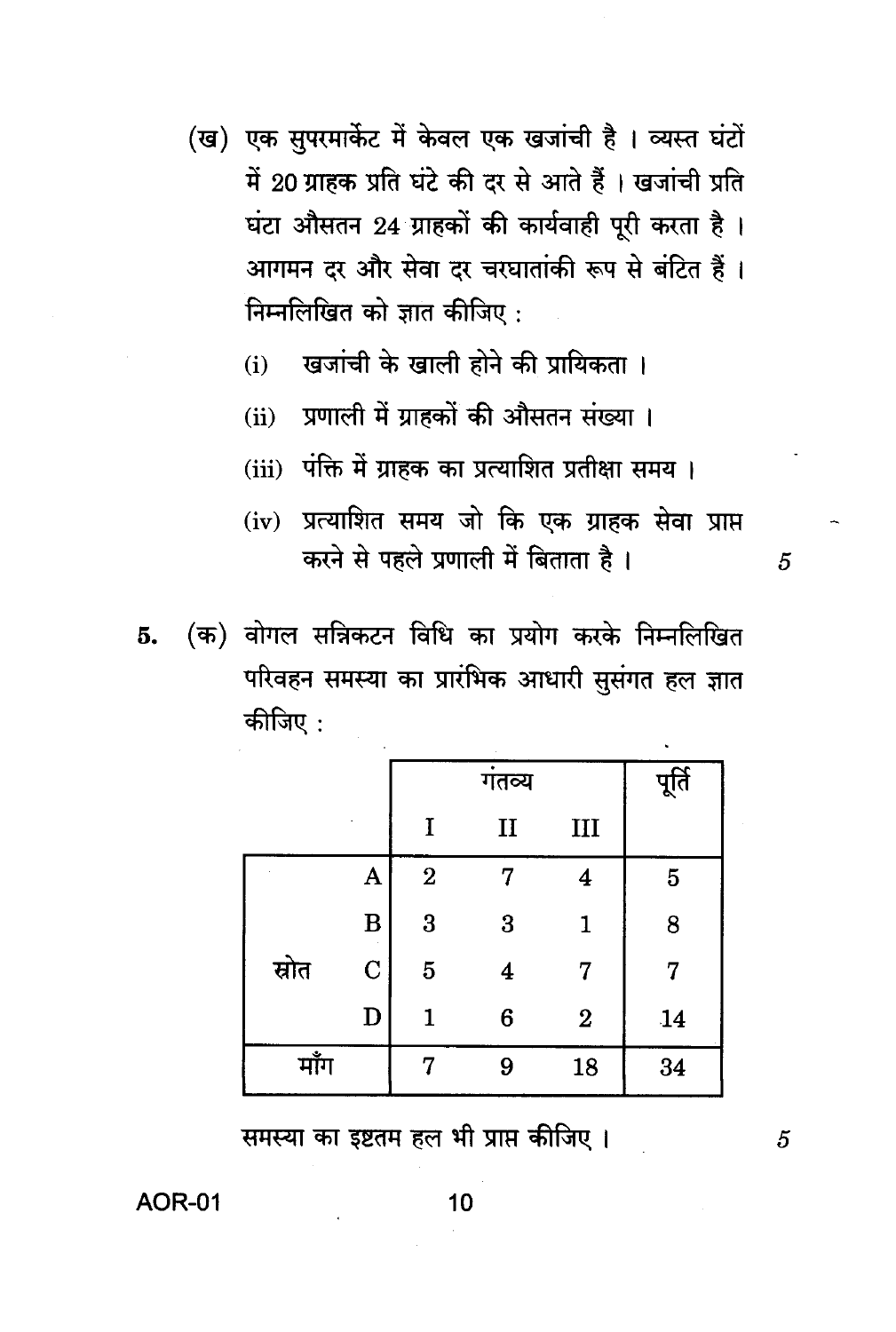- (ख) एक सुपरमार्केट में केवल एक खजांची है। व्यस्त घंटों में 20 ग्राहक प्रति घंटे की दर से आते हैं । खजांची प्रति घंटा औसतन 24 ग्राहकों की कार्यवाही पूरी करता है। आगमन दर और सेवा दर चरघातांकी रूप से बंटित हैं। निम्नलिखित को ज्ञात कीजिए :
	- खजांची के खाली होने की प्रायिकता ।  $(i)$
	- ्राणाली में ग्राहकों की औसतन संख्या ।  $(ii)$
	- (iii) पंक्ति में ग्राहक का प्रत्याशित प्रतीक्षा समय।
	- (iv) प्रत्याशित समय जो कि एक ग्राहक सेवा प्राप्त करने से पहले प्रणाली में बिताता है।
- (क) वोगल सन्निकटन विधि का प्रयोग करके निम्नलिखित 5. परिवहन समस्या का प्रारंभिक आधारी सूसंगत हल ज्ञात कीजिए :

|       |             |                | पूर्ति       |                  |                |
|-------|-------------|----------------|--------------|------------------|----------------|
|       |             | I              | $\mathbf{I}$ | III              |                |
|       | A           | $\overline{2}$ | 7            | 4                | $\overline{5}$ |
|       | $\bf{B}$    | 3              | 3            | 1                | 8              |
| स्रोत | $\mathbf C$ | $\overline{5}$ | 4            | 7                | 7              |
|       | $\mathbf D$ | 1              | 6            | $\boldsymbol{2}$ | 14             |
| माँग  |             | 7              | 9            | 18               | 34             |

समस्या का इष्टतम हल भी प्राप्त कीजिए।

**AOR-01** 

5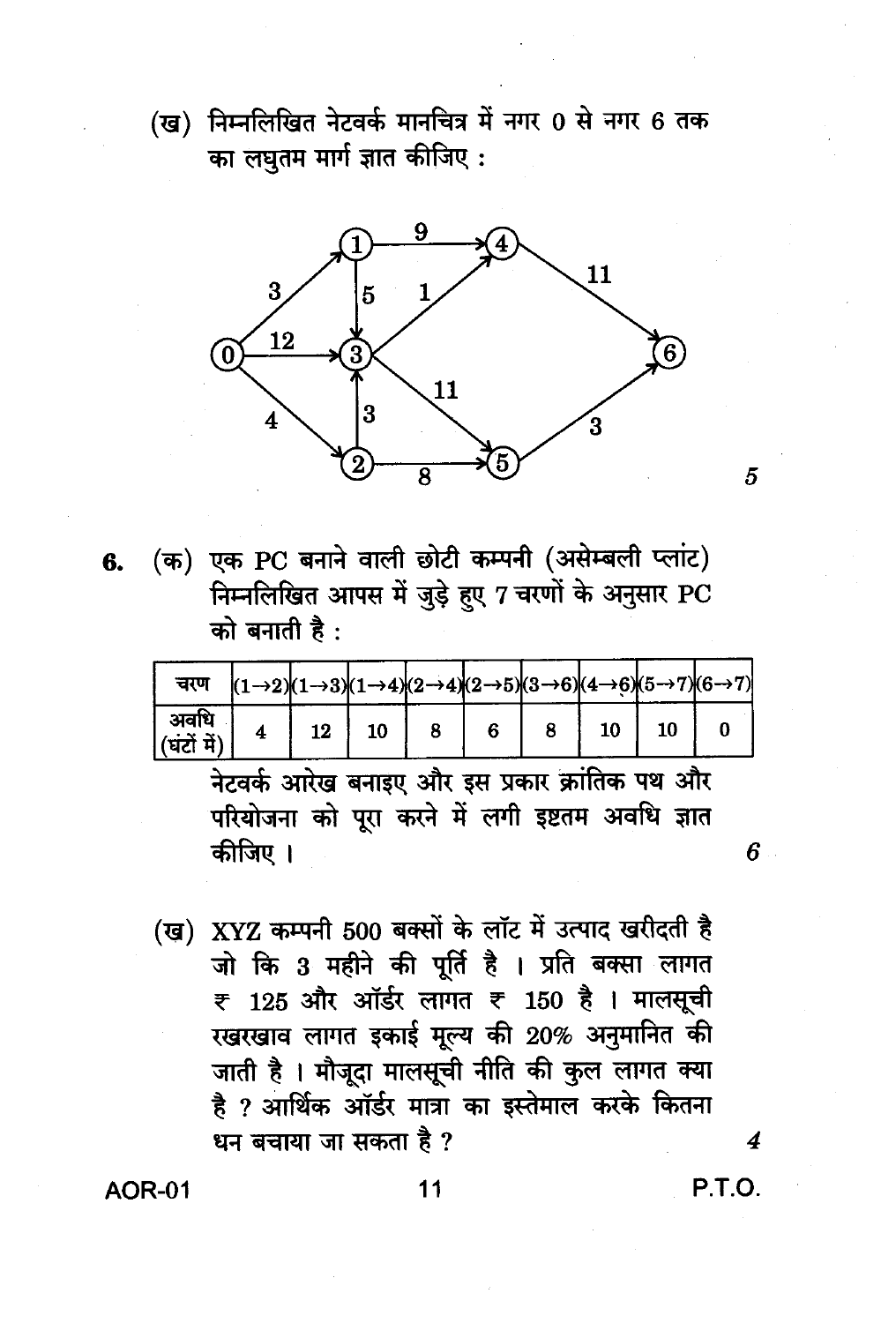(ख) निम्नलिखित नेटवर्क मानचित्र में नगर 0 से नगर 6 तक का लघुतम मार्ग ज्ञात कीजिए:



(क) एक PC बनाने वाली छोटी कम्पनी (असेम्बली प्लांट) 6. निम्नलिखित आपस में जुड़े हुए 7 चरणों के अनुसार PC को बनाती है:

| चरण                     |  |    |  |  | $ (1\rightarrow 2)(1\rightarrow 3)(1\rightarrow 4)(2\rightarrow 4)(2\rightarrow 5)(3\rightarrow 6)(4\rightarrow 6)(5\rightarrow 7)(6\rightarrow 7)$ |
|-------------------------|--|----|--|--|-----------------------------------------------------------------------------------------------------------------------------------------------------|
| अवधि<br>$ $ (घंटों में) |  | 10 |  |  |                                                                                                                                                     |

नेटवर्क आरेख बनाइए और इस प्रकार क्रांतिक पथ और परियोजना को पुरा करने में लगी इष्टतम अवधि ज्ञात कीजिए ।

(ख) XYZ कम्पनी 500 बक्सों के लॉट में उत्पाद खरीदती है जो कि 3 महीने की पूर्ति है । प्रति बक्सा लागत ₹ 125 और ऑर्डर लागत ₹ 150 है। मालसूची रखरखाव लागत इकाई मूल्य की 20% अनुमानित की जाती है । मौजूदा मालसूची नीति की कुल लागत क्या है ? आर्थिक ऑर्डर मात्रा का इस्तेमाल करके कितना धन बचाया जा सकता है ?

**AOR-01** 

P.T.O.

4

5

 $6 -$